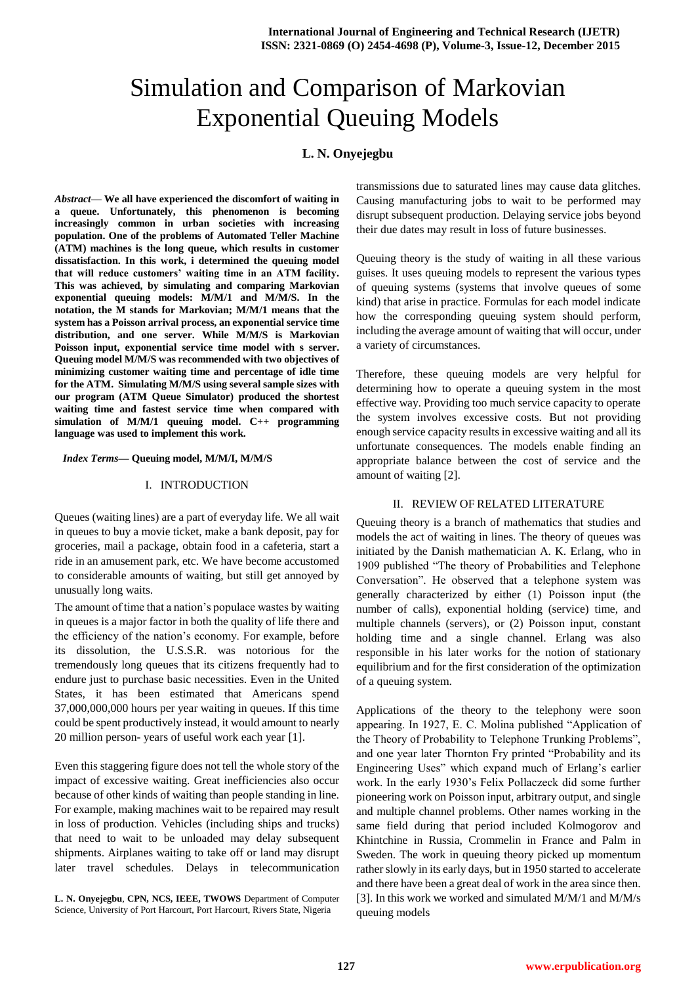# Simulation and Comparison of Markovian Exponential Queuing Models

# **L. N. Onyejegbu**

*Abstract***— We all have experienced the discomfort of waiting in a queue. Unfortunately, this phenomenon is becoming increasingly common in urban societies with increasing population. One of the problems of Automated Teller Machine (ATM) machines is the long queue, which results in customer dissatisfaction. In this work, i determined the queuing model that will reduce customers' waiting time in an ATM facility. This was achieved, by simulating and comparing Markovian exponential queuing models: M/M/1 and M/M/S. In the notation, the M stands for Markovian; M/M/1 means that the system has a Poisson arrival process, an exponential service time distribution, and one server. While M/M/S is Markovian Poisson input, exponential service time model with s server. Queuing model M/M/S was recommended with two objectives of minimizing customer waiting time and percentage of idle time for the ATM. Simulating M/M/S using several sample sizes with our program (ATM Queue Simulator) produced the shortest waiting time and fastest service time when compared with simulation of M/M/1 queuing model. C++ programming language was used to implement this work.**

#### *Index Terms***— Queuing model, M/M/I, M/M/S**

### I. INTRODUCTION

Queues (waiting lines) are a part of everyday life. We all wait in queues to buy a movie ticket, make a bank deposit, pay for groceries, mail a package, obtain food in a cafeteria, start a ride in an amusement park, etc. We have become accustomed to considerable amounts of waiting, but still get annoyed by unusually long waits.

The amount of time that a nation's populace wastes by waiting in queues is a major factor in both the quality of life there and the efficiency of the nation's economy. For example, before its dissolution, the U.S.S.R. was notorious for the tremendously long queues that its citizens frequently had to endure just to purchase basic necessities. Even in the United States, it has been estimated that Americans spend 37,000,000,000 hours per year waiting in queues. If this time could be spent productively instead, it would amount to nearly 20 million person- years of useful work each year [1].

Even this staggering figure does not tell the whole story of the impact of excessive waiting. Great inefficiencies also occur because of other kinds of waiting than people standing in line. For example, making machines wait to be repaired may result in loss of production. Vehicles (including ships and trucks) that need to wait to be unloaded may delay subsequent shipments. Airplanes waiting to take off or land may disrupt later travel schedules. Delays in telecommunication

**L. N. Onyejegbu**, **CPN, NCS, IEEE, TWOWS** Department of Computer Science, University of Port Harcourt, Port Harcourt, Rivers State, Nigeria

transmissions due to saturated lines may cause data glitches. Causing manufacturing jobs to wait to be performed may disrupt subsequent production. Delaying service jobs beyond their due dates may result in loss of future businesses.

Queuing theory is the study of waiting in all these various guises. It uses queuing models to represent the various types of queuing systems (systems that involve queues of some kind) that arise in practice. Formulas for each model indicate how the corresponding queuing system should perform, including the average amount of waiting that will occur, under a variety of circumstances.

Therefore, these queuing models are very helpful for determining how to operate a queuing system in the most effective way. Providing too much service capacity to operate the system involves excessive costs. But not providing enough service capacity results in excessive waiting and all its unfortunate consequences. The models enable finding an appropriate balance between the cost of service and the amount of waiting [2].

# II. REVIEW OF RELATED LITERATURE

Queuing theory is a branch of mathematics that studies and models the act of waiting in lines. The theory of queues was initiated by the Danish mathematician A. K. Erlang, who in 1909 published "The theory of Probabilities and Telephone Conversation". He observed that a telephone system was generally characterized by either (1) Poisson input (the number of calls), exponential holding (service) time, and multiple channels (servers), or (2) Poisson input, constant holding time and a single channel. Erlang was also responsible in his later works for the notion of stationary equilibrium and for the first consideration of the optimization of a queuing system.

Applications of the theory to the telephony were soon appearing. In 1927, E. C. Molina published "Application of the Theory of Probability to Telephone Trunking Problems", and one year later Thornton Fry printed "Probability and its Engineering Uses" which expand much of Erlang's earlier work. In the early 1930's Felix Pollaczeck did some further pioneering work on Poisson input, arbitrary output, and single and multiple channel problems. Other names working in the same field during that period included Kolmogorov and Khintchine in Russia, Crommelin in France and Palm in Sweden. The work in queuing theory picked up momentum rather slowly in its early days, but in 1950 started to accelerate and there have been a great deal of work in the area since then. [3]. In this work we worked and simulated M/M/1 and M/M/s queuing models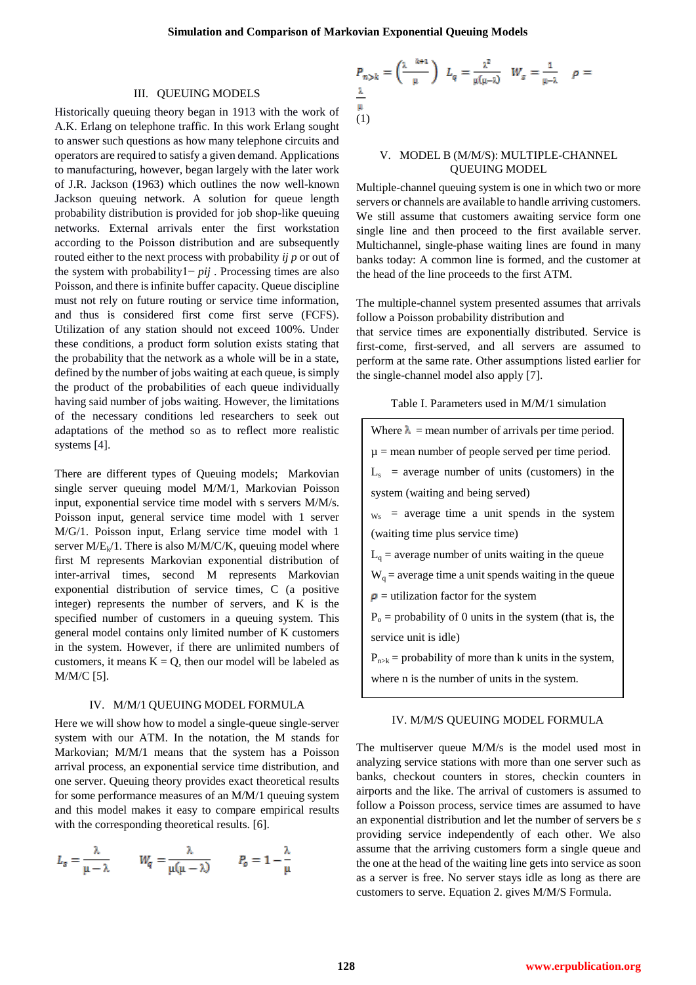#### III. QUEUING MODELS

Historically queuing theory began in 1913 with the work of A.K. Erlang on telephone traffic. In this work Erlang sought to answer such questions as how many telephone circuits and operators are required to satisfy a given demand. Applications to manufacturing, however, began largely with the later work of J.R. Jackson (1963) which outlines the now well-known Jackson queuing network. A solution for queue length probability distribution is provided for job shop-like queuing networks. External arrivals enter the first workstation according to the Poisson distribution and are subsequently routed either to the next process with probability *ij p* or out of the system with probability1− *pij* . Processing times are also Poisson, and there is infinite buffer capacity. Queue discipline must not rely on future routing or service time information, and thus is considered first come first serve (FCFS). Utilization of any station should not exceed 100%. Under these conditions, a product form solution exists stating that the probability that the network as a whole will be in a state, defined by the number of jobs waiting at each queue, is simply the product of the probabilities of each queue individually having said number of jobs waiting. However, the limitations of the necessary conditions led researchers to seek out adaptations of the method so as to reflect more realistic systems [4].

There are different types of Queuing models; Markovian single server queuing model M/M/1, Markovian Poisson input, exponential service time model with s servers M/M/s. Poisson input, general service time model with 1 server M/G/1. Poisson input, Erlang service time model with 1 server  $M/E_k/1$ . There is also  $M/M/C/K$ , queuing model where first M represents Markovian exponential distribution of inter-arrival times, second M represents Markovian exponential distribution of service times, C (a positive integer) represents the number of servers, and K is the specified number of customers in a queuing system. This general model contains only limited number of K customers in the system. However, if there are unlimited numbers of customers, it means  $K = Q$ , then our model will be labeled as M/M/C [5].

#### IV. M/M/1 QUEUING MODEL FORMULA

Here we will show how to model a single-queue single-server system with our ATM. In the notation, the M stands for Markovian; M/M/1 means that the system has a Poisson arrival process, an exponential service time distribution, and one server. Queuing theory provides exact theoretical results for some performance measures of an M/M/1 queuing system and this model makes it easy to compare empirical results with the corresponding theoretical results. [6].

$$
L_s = \frac{\lambda}{\mu - \lambda} \qquad W_q = \frac{\lambda}{\mu(\mu - \lambda)} \qquad P_o = 1 - \frac{\lambda}{\mu}
$$

$$
P_{n>k} = \left(\frac{\lambda^{-k+1}}{\mu}\right) L_q = \frac{\lambda^2}{\mu(\mu-\lambda)} W_s = \frac{1}{\mu-\lambda} \quad \rho = \frac{\lambda}{\mu}
$$
  
(1)

## V. MODEL B (M/M/S): MULTIPLE-CHANNEL QUEUING MODEL

Multiple-channel queuing system is one in which two or more servers or channels are available to handle arriving customers. We still assume that customers awaiting service form one single line and then proceed to the first available server. Multichannel, single-phase waiting lines are found in many banks today: A common line is formed, and the customer at the head of the line proceeds to the first ATM.

The multiple-channel system presented assumes that arrivals follow a Poisson probability distribution and

that service times are exponentially distributed. Service is first-come, first-served, and all servers are assumed to perform at the same rate. Other assumptions listed earlier for the single-channel model also apply [7].

|  | Table I. Parameters used in M/M/1 simulation |  |  |  |
|--|----------------------------------------------|--|--|--|
|--|----------------------------------------------|--|--|--|

| Where $\lambda$ = mean number of arrivals per time period.  |  |  |  |  |  |  |
|-------------------------------------------------------------|--|--|--|--|--|--|
| $\mu$ = mean number of people served per time period.       |  |  |  |  |  |  |
| $Ls$ = average number of units (customers) in the           |  |  |  |  |  |  |
| system (waiting and being served)                           |  |  |  |  |  |  |
| $w_s$ = average time a unit spends in the system            |  |  |  |  |  |  |
| (waiting time plus service time)                            |  |  |  |  |  |  |
| $La$ = average number of units waiting in the queue         |  |  |  |  |  |  |
| $Wa$ = average time a unit spends waiting in the queue      |  |  |  |  |  |  |
| $\rho$ = utilization factor for the system                  |  |  |  |  |  |  |
| $P_0$ = probability of 0 units in the system (that is, the  |  |  |  |  |  |  |
| service unit is idle)                                       |  |  |  |  |  |  |
| $P_{n>k}$ = probability of more than k units in the system, |  |  |  |  |  |  |
| where n is the number of units in the system.               |  |  |  |  |  |  |
|                                                             |  |  |  |  |  |  |

## IV. M/M/S QUEUING MODEL FORMULA

The multiserver queue M/M/s is the model used most in analyzing service stations with more than one server such as banks, checkout counters in stores, checkin counters in airports and the like. The arrival of customers is assumed to follow a Poisson process, service times are assumed to have an exponential distribution and let the number of servers be *s*  providing service independently of each other. We also assume that the arriving customers form a single queue and the one at the head of the waiting line gets into service as soon as a server is free. No server stays idle as long as there are customers to serve. Equation 2. gives M/M/S Formula.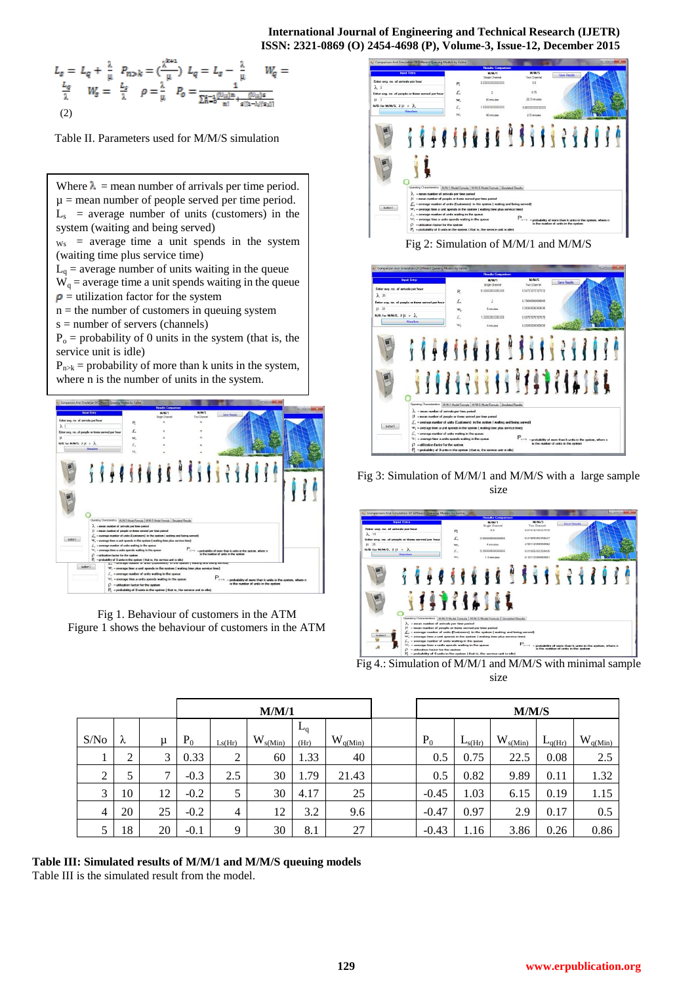# **International Journal of Engineering and Technical Research (IJETR) ISSN: 2321-0869 (O) 2454-4698 (P), Volume-3, Issue-12, December 2015**

$$
L_{s} = L_{q} + \frac{\lambda}{\mu} \quad P_{n > k} = \left(\frac{\lambda^{k+1}}{\mu}\right) \ L_{q} = L_{s} - \frac{\lambda}{\mu} \qquad W_{q} = \frac{L_{q}}{\lambda} \qquad W_{q} = \frac{1}{\lambda} \qquad W_{s} = \frac{1}{\lambda} \qquad \rho = \frac{\lambda}{\mu} \qquad P_{o} = \frac{1}{\sum_{k=0}^{k} \left(\frac{\lambda^{k} u}{n!} \right)^{n} + \frac{\left(\lambda^{k} u\right)^{s}}{s! \left(1 - \lambda^{s} \left(\frac{\lambda^{k} u}{n!}\right)\right)}} \tag{2}
$$

Table II. Parameters used for M/M/S simulation

Where  $\lambda$  = mean number of arrivals per time period.  $u =$  mean number of people served per time period.  $L<sub>s</sub>$  = average number of units (customers) in the system (waiting and being served)

 $w_s$  = average time a unit spends in the system (waiting time plus service time)

 $L_q$  = average number of units waiting in the queue

 $W_q$  = average time a unit spends waiting in the queue  $\rho$  = utilization factor for the system

 $n =$  the number of customers in queuing system

s = number of servers (channels)

 $P_0$  = probability of 0 units in the system (that is, the service unit is idle)

 $P_{n\ge k}$  = probability of more than k units in the system, where n is the number of units in the system.



Fig 1. Behaviour of customers in the ATM Figure 1 shows the behaviour of customers in the ATM



Fig 2: Simulation of M/M/1 and M/M/S



Fig 3: Simulation of M/M/1 and M/M/S with a large sample size



Fig 4.: Simulation of M/M/1 and M/M/S with minimal sample size

|                | M/M/1  |    |        |                |              |               | M/M/S        |         |             |              |             |              |
|----------------|--------|----|--------|----------------|--------------|---------------|--------------|---------|-------------|--------------|-------------|--------------|
| S/No           | λ      | μ  | $P_0$  | Ls(Hr)         | $W_{s(Min)}$ | $L_q$<br>(Hr) | $W_{q(Min)}$ | $P_0$   | $L_{s(Hr)}$ | $W_{s(Min)}$ | $L_{q(Hr)}$ | $W_{q(Min)}$ |
|                | ◠<br>∠ | 3  | 0.33   | 2              | 60           | 1.33          | 40           | 0.5     | 0.75        | 22.5         | 0.08        | 2.5          |
| 2              |        | 7  | $-0.3$ | 2.5            | 30           | 1.79          | 21.43        | 0.5     | 0.82        | 9.89         | 0.11        | 1.32         |
| 3              | 10     | 12 | $-0.2$ | 5              | 30           | 4.17          | 25           | $-0.45$ | 1.03        | 6.15         | 0.19        | 1.15         |
| $\overline{4}$ | 20     | 25 | $-0.2$ | $\overline{4}$ | 12           | 3.2           | 9.6          | $-0.47$ | 0.97        | 2.9          | 0.17        | 0.5          |
| 5              | 18     | 20 | $-0.1$ | 9              | 30           | 8.1           | 27           | $-0.43$ | 1.16        | 3.86         | 0.26        | 0.86         |

# **Table III: Simulated results of M/M/1 and M/M/S queuing models**

Table III is the simulated result from the model.